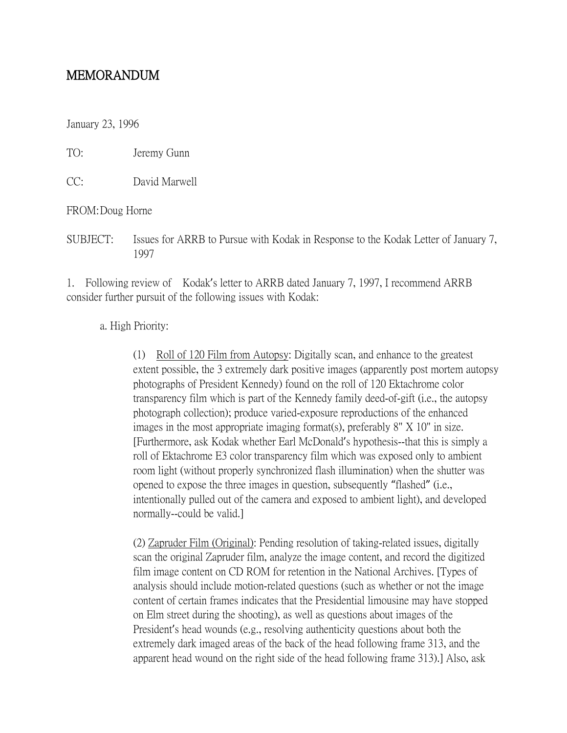## MEMORANDUM

January 23, 1996

TO: Jeremy Gunn

CC: David Marwell

FROM:Doug Horne

SUBJECT: Issues for ARRB to Pursue with Kodak in Response to the Kodak Letter of January 7, 1997

1. Following review of Kodak's letter to ARRB dated January 7, 1997, I recommend ARRB consider further pursuit of the following issues with Kodak:

## a. High Priority:

(1) Roll of 120 Film from Autopsy: Digitally scan, and enhance to the greatest extent possible, the 3 extremely dark positive images (apparently post mortem autopsy photographs of President Kennedy) found on the roll of 120 Ektachrome color transparency film which is part of the Kennedy family deed-of-gift (i.e., the autopsy photograph collection); produce varied-exposure reproductions of the enhanced images in the most appropriate imaging format(s), preferably 8" X 10" in size. [Furthermore, ask Kodak whether Earl McDonald's hypothesis--that this is simply a roll of Ektachrome E3 color transparency film which was exposed only to ambient room light (without properly synchronized flash illumination) when the shutter was opened to expose the three images in question, subsequently "flashed" (i.e., intentionally pulled out of the camera and exposed to ambient light), and developed normally--could be valid.]

(2) Zapruder Film (Original): Pending resolution of taking-related issues, digitally scan the original Zapruder film, analyze the image content, and record the digitized film image content on CD ROM for retention in the National Archives. [Types of analysis should include motion-related questions (such as whether or not the image content of certain frames indicates that the Presidential limousine may have stopped on Elm street during the shooting), as well as questions about images of the President's head wounds (e.g., resolving authenticity questions about both the extremely dark imaged areas of the back of the head following frame 313, and the apparent head wound on the right side of the head following frame 313).] Also, ask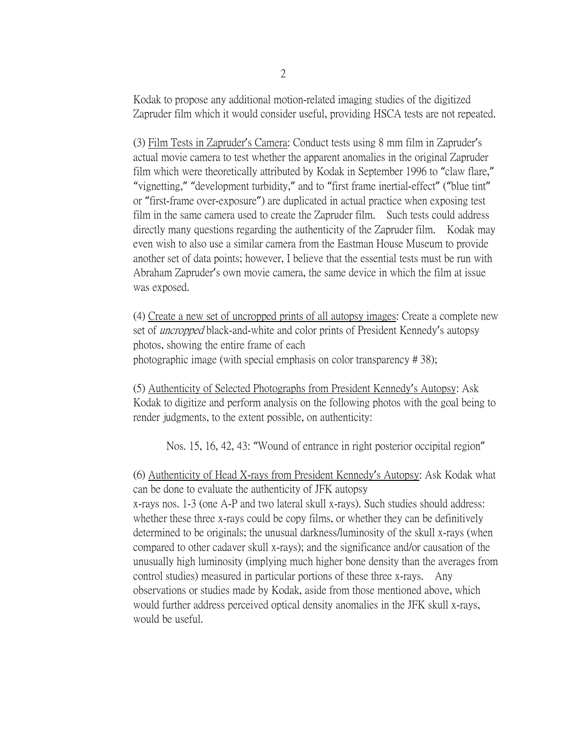Kodak to propose any additional motion-related imaging studies of the digitized Zapruder film which it would consider useful, providing HSCA tests are not repeated.

(3) Film Tests in Zapruder's Camera: Conduct tests using 8 mm film in Zapruder's actual movie camera to test whether the apparent anomalies in the original Zapruder film which were theoretically attributed by Kodak in September 1996 to "claw flare," "vignetting," "development turbidity," and to "first frame inertial-effect" ("blue tint" or "first-frame over-exposure") are duplicated in actual practice when exposing test film in the same camera used to create the Zapruder film. Such tests could address directly many questions regarding the authenticity of the Zapruder film. Kodak may even wish to also use a similar camera from the Eastman House Museum to provide another set of data points; however, I believe that the essential tests must be run with Abraham Zapruder's own movie camera, the same device in which the film at issue was exposed.

(4) Create a new set of uncropped prints of all autopsy images: Create a complete new set of *uncropped* black-and-white and color prints of President Kennedy's autopsy photos, showing the entire frame of each photographic image (with special emphasis on color transparency # 38);

(5) Authenticity of Selected Photographs from President Kennedy's Autopsy: Ask Kodak to digitize and perform analysis on the following photos with the goal being to render judgments, to the extent possible, on authenticity:

Nos. 15, 16, 42, 43: "Wound of entrance in right posterior occipital region"

(6) Authenticity of Head X-rays from President Kennedy's Autopsy: Ask Kodak what can be done to evaluate the authenticity of JFK autopsy x-rays nos. 1-3 (one A-P and two lateral skull x-rays). Such studies should address: whether these three x-rays could be copy films, or whether they can be definitively determined to be originals; the unusual darkness/luminosity of the skull x-rays (when compared to other cadaver skull x-rays); and the significance and/or causation of the unusually high luminosity (implying much higher bone density than the averages from control studies) measured in particular portions of these three x-rays. Any observations or studies made by Kodak, aside from those mentioned above, which would further address perceived optical density anomalies in the JFK skull x-rays, would be useful.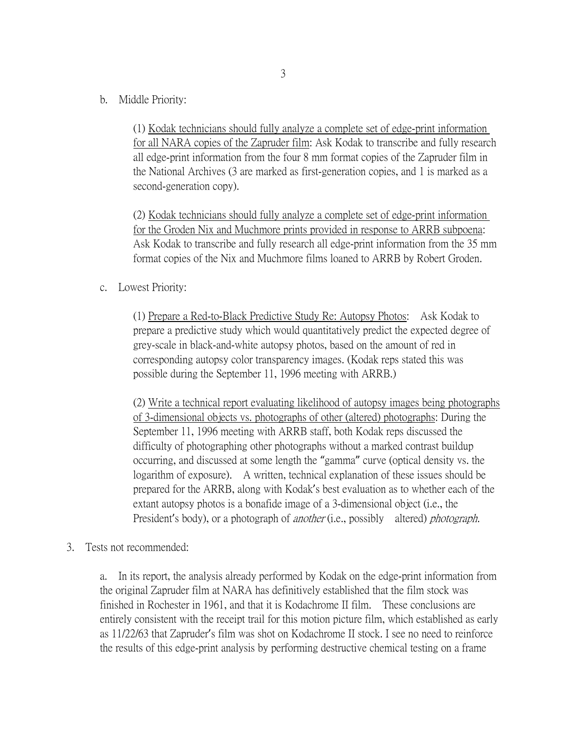b. Middle Priority:

(1) Kodak technicians should fully analyze a complete set of edge-print information for all NARA copies of the Zapruder film: Ask Kodak to transcribe and fully research all edge-print information from the four 8 mm format copies of the Zapruder film in the National Archives (3 are marked as first-generation copies, and 1 is marked as a second-generation copy).

(2) Kodak technicians should fully analyze a complete set of edge-print information for the Groden Nix and Muchmore prints provided in response to ARRB subpoena: Ask Kodak to transcribe and fully research all edge-print information from the 35 mm format copies of the Nix and Muchmore films loaned to ARRB by Robert Groden.

c. Lowest Priority:

(1) Prepare a Red-to-Black Predictive Study Re: Autopsy Photos: Ask Kodak to prepare a predictive study which would quantitatively predict the expected degree of grey-scale in black-and-white autopsy photos, based on the amount of red in corresponding autopsy color transparency images. (Kodak reps stated this was possible during the September 11, 1996 meeting with ARRB.)

(2) Write a technical report evaluating likelihood of autopsy images being photographs of 3-dimensional objects vs. photographs of other (altered) photographs: During the September 11, 1996 meeting with ARRB staff, both Kodak reps discussed the difficulty of photographing other photographs without a marked contrast buildup occurring, and discussed at some length the "gamma" curve (optical density vs. the logarithm of exposure). A written, technical explanation of these issues should be prepared for the ARRB, along with Kodak's best evaluation as to whether each of the extant autopsy photos is a bonafide image of a 3-dimensional object (i.e., the President's body), or a photograph of *another* (i.e., possibly altered) *photograph*.

3. Tests not recommended:

a. In its report, the analysis already performed by Kodak on the edge-print information from the original Zapruder film at NARA has definitively established that the film stock was finished in Rochester in 1961, and that it is Kodachrome II film. These conclusions are entirely consistent with the receipt trail for this motion picture film, which established as early as 11/22/63 that Zapruder's film was shot on Kodachrome II stock. I see no need to reinforce the results of this edge-print analysis by performing destructive chemical testing on a frame